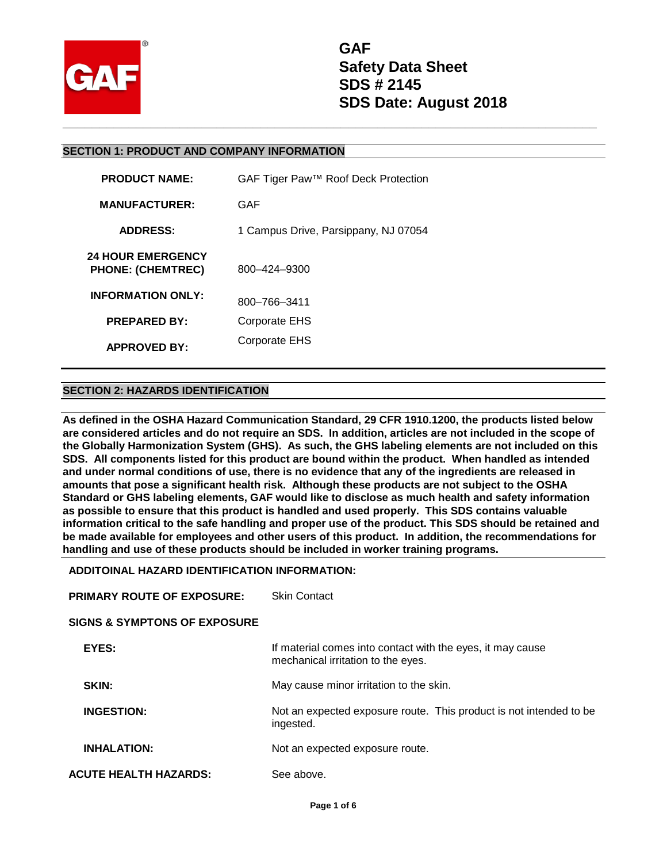

#### **SECTION 1: PRODUCT AND COMPANY INFORMATION**

| <b>PRODUCT NAME:</b>                                 | GAF Tiger Paw <sup>™</sup> Roof Deck Protection |
|------------------------------------------------------|-------------------------------------------------|
| <b>MANUFACTURER:</b>                                 | GAF                                             |
| <b>ADDRESS:</b>                                      | 1 Campus Drive, Parsippany, NJ 07054            |
| <b>24 HOUR EMERGENCY</b><br><b>PHONE: (CHEMTREC)</b> | 800-424-9300                                    |
| <b>INFORMATION ONLY:</b>                             | 800-766-3411                                    |
| <b>PREPARED BY:</b>                                  | Corporate EHS                                   |
| <b>APPROVED BY:</b>                                  | Corporate EHS                                   |

#### **SECTION 2: HAZARDS IDENTIFICATION**

**As defined in the OSHA Hazard Communication Standard, 29 CFR 1910.1200, the products listed below are considered articles and do not require an SDS. In addition, articles are not included in the scope of the Globally Harmonization System (GHS). As such, the GHS labeling elements are not included on this SDS. All components listed for this product are bound within the product. When handled as intended and under normal conditions of use, there is no evidence that any of the ingredients are released in amounts that pose a significant health risk. Although these products are not subject to the OSHA Standard or GHS labeling elements, GAF would like to disclose as much health and safety information as possible to ensure that this product is handled and used properly. This SDS contains valuable information critical to the safe handling and proper use of the product. This SDS should be retained and be made available for employees and other users of this product. In addition, the recommendations for handling and use of these products should be included in worker training programs.** 

#### **ADDITOINAL HAZARD IDENTIFICATION INFORMATION:**

| <b>PRIMARY ROUTE OF EXPOSURE:</b>       | <b>Skin Contact</b>                                                                              |
|-----------------------------------------|--------------------------------------------------------------------------------------------------|
| <b>SIGNS &amp; SYMPTONS OF EXPOSURE</b> |                                                                                                  |
| EYES:                                   | If material comes into contact with the eyes, it may cause<br>mechanical irritation to the eyes. |
| SKIN:                                   | May cause minor irritation to the skin.                                                          |
| <b>INGESTION:</b>                       | Not an expected exposure route. This product is not intended to be<br>ingested.                  |
| <b>INHALATION:</b>                      | Not an expected exposure route.                                                                  |
| <b>ACUTE HEALTH HAZARDS:</b>            | See above.                                                                                       |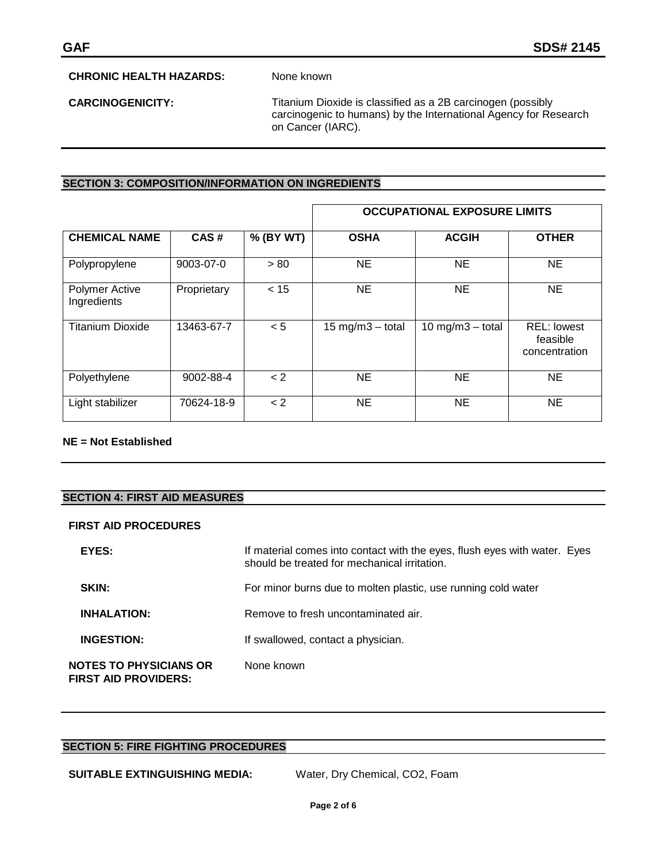## **CHRONIC HEALTH HAZARDS:** None known

**CARCINOGENICITY:** Titanium Dioxide is classified as a 2B carcinogen (possibly carcinogenic to humans) by the International Agency for Research on Cancer (IARC).

#### **SECTION 3: COMPOSITION/INFORMATION ON INGREDIENTS**

|                                      |             |           |                     | <b>OCCUPATIONAL EXPOSURE LIMITS</b> |                                                 |
|--------------------------------------|-------------|-----------|---------------------|-------------------------------------|-------------------------------------------------|
| <b>CHEMICAL NAME</b>                 | CAS#        | % (BY WT) | <b>OSHA</b>         | <b>ACGIH</b>                        | <b>OTHER</b>                                    |
| Polypropylene                        | 9003-07-0   | > 80      | NE.                 | NE.                                 | <b>NE</b>                                       |
| <b>Polymer Active</b><br>Ingredients | Proprietary | < 15      | NE.                 | NE.                                 | <b>NE</b>                                       |
| <b>Titanium Dioxide</b>              | 13463-67-7  | < 5       | 15 mg/m $3$ – total | 10 mg/m $3$ - total                 | <b>REL: lowest</b><br>feasible<br>concentration |
| Polyethylene                         | 9002-88-4   | < 2       | NE                  | NE                                  | <b>NE</b>                                       |
| Light stabilizer                     | 70624-18-9  | < 2       | NΕ                  | NE                                  | NE                                              |

#### **NE = Not Established**

# **SECTION 4: FIRST AID MEASURES**

#### **FIRST AID PROCEDURES**

| EYES:                                                        | If material comes into contact with the eyes, flush eyes with water. Eyes<br>should be treated for mechanical irritation. |
|--------------------------------------------------------------|---------------------------------------------------------------------------------------------------------------------------|
| <b>SKIN:</b>                                                 | For minor burns due to molten plastic, use running cold water                                                             |
| <b>INHALATION:</b>                                           | Remove to fresh uncontaminated air.                                                                                       |
| <b>INGESTION:</b>                                            | If swallowed, contact a physician.                                                                                        |
| <b>NOTES TO PHYSICIANS OR</b><br><b>FIRST AID PROVIDERS:</b> | None known                                                                                                                |

# **SECTION 5: FIRE FIGHTING PROCEDURES**

**SUITABLE EXTINGUISHING MEDIA:** Water, Dry Chemical, CO2, Foam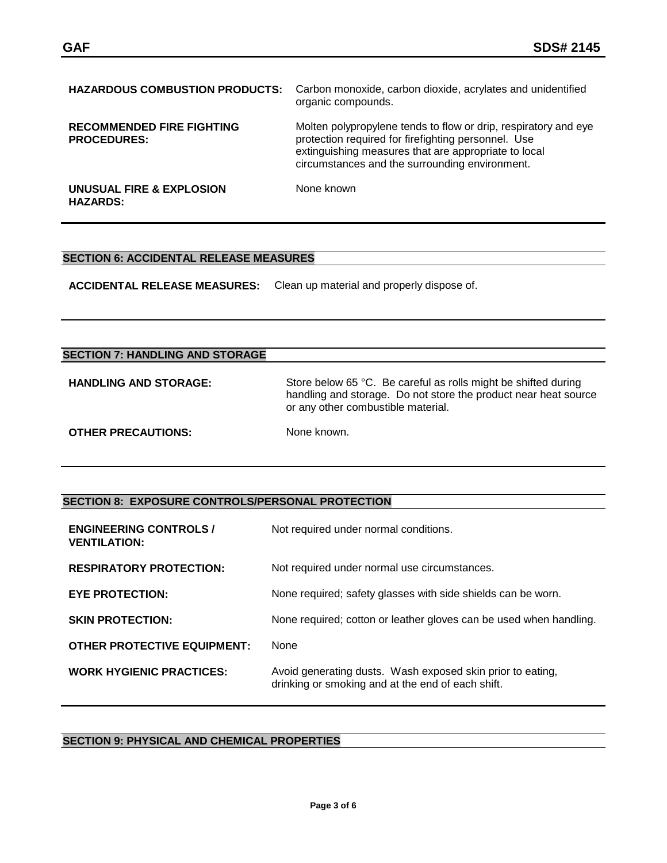| <b>HAZARDOUS COMBUSTION PRODUCTS:</b>                  | Carbon monoxide, carbon dioxide, acrylates and unidentified<br>organic compounds.                                                                                                                                                |
|--------------------------------------------------------|----------------------------------------------------------------------------------------------------------------------------------------------------------------------------------------------------------------------------------|
| <b>RECOMMENDED FIRE FIGHTING</b><br><b>PROCEDURES:</b> | Molten polypropylene tends to flow or drip, respiratory and eye<br>protection required for firefighting personnel. Use<br>extinguishing measures that are appropriate to local<br>circumstances and the surrounding environment. |
| UNUSUAL FIRE & EXPLOSION<br><b>HAZARDS:</b>            | None known                                                                                                                                                                                                                       |

### **SECTION 6: ACCIDENTAL RELEASE MEASURES**

**ACCIDENTAL RELEASE MEASURES:** Clean up material and properly dispose of.

# **SECTION 7: HANDLING AND STORAGE**

| <b>HANDLING AND STORAGE:</b> | Store below 65 °C. Be careful as rolls might be shifted during<br>handling and storage. Do not store the product near heat source<br>or any other combustible material. |
|------------------------------|-------------------------------------------------------------------------------------------------------------------------------------------------------------------------|
| <b>OTHER PRECAUTIONS:</b>    | None known.                                                                                                                                                             |

#### **SECTION 8: EXPOSURE CONTROLS/PERSONAL PROTECTION**

| <b>ENGINEERING CONTROLS /</b><br><b>VENTILATION:</b> | Not required under normal conditions.                                                                           |
|------------------------------------------------------|-----------------------------------------------------------------------------------------------------------------|
| <b>RESPIRATORY PROTECTION:</b>                       | Not required under normal use circumstances.                                                                    |
| <b>EYE PROTECTION:</b>                               | None required; safety glasses with side shields can be worn.                                                    |
| <b>SKIN PROTECTION:</b>                              | None required; cotton or leather gloves can be used when handling.                                              |
| <b>OTHER PROTECTIVE EQUIPMENT:</b>                   | <b>None</b>                                                                                                     |
| <b>WORK HYGIENIC PRACTICES:</b>                      | Avoid generating dusts. Wash exposed skin prior to eating,<br>drinking or smoking and at the end of each shift. |

# **SECTION 9: PHYSICAL AND CHEMICAL PROPERTIES**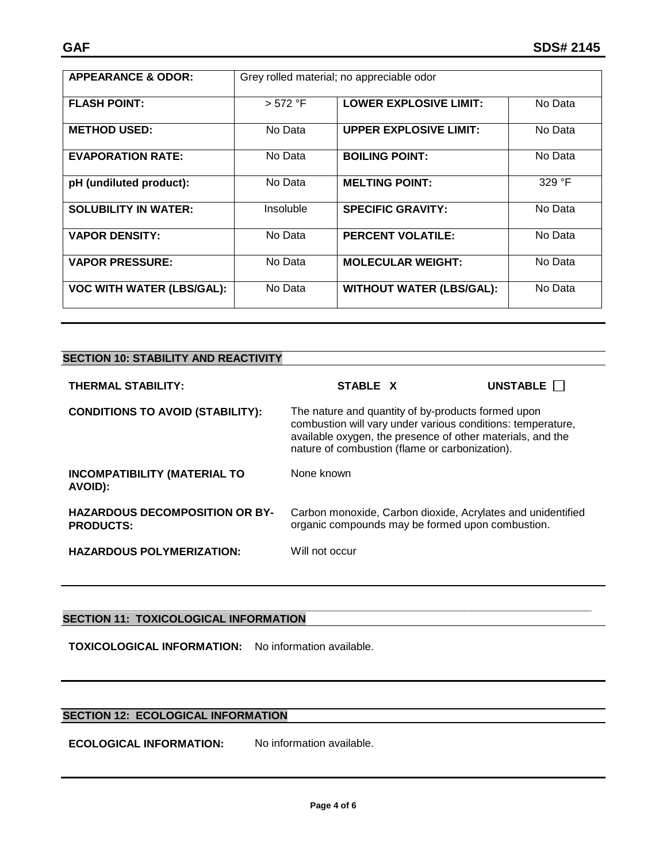| <b>APPEARANCE &amp; ODOR:</b>    |           | Grey rolled material; no appreciable odor |         |
|----------------------------------|-----------|-------------------------------------------|---------|
|                                  |           |                                           |         |
| <b>FLASH POINT:</b>              | > 572 °F  | <b>LOWER EXPLOSIVE LIMIT:</b>             | No Data |
| <b>METHOD USED:</b>              | No Data   | <b>UPPER EXPLOSIVE LIMIT:</b>             | No Data |
| <b>EVAPORATION RATE:</b>         | No Data   | <b>BOILING POINT:</b>                     | No Data |
| pH (undiluted product):          | No Data   | <b>MELTING POINT:</b>                     | 329 °F  |
| <b>SOLUBILITY IN WATER:</b>      | Insoluble | <b>SPECIFIC GRAVITY:</b>                  | No Data |
| <b>VAPOR DENSITY:</b>            | No Data   | <b>PERCENT VOLATILE:</b>                  | No Data |
| <b>VAPOR PRESSURE:</b>           | No Data   | <b>MOLECULAR WEIGHT:</b>                  | No Data |
| <b>VOC WITH WATER (LBS/GAL):</b> | No Data   | <b>WITHOUT WATER (LBS/GAL):</b>           | No Data |

| <b>THERMAL STABILITY:</b>                                 | STABLE X                                                                                                                                                                                                                          | UNSTABLE |
|-----------------------------------------------------------|-----------------------------------------------------------------------------------------------------------------------------------------------------------------------------------------------------------------------------------|----------|
| <b>CONDITIONS TO AVOID (STABILITY):</b>                   | The nature and quantity of by-products formed upon<br>combustion will vary under various conditions: temperature,<br>available oxygen, the presence of other materials, and the<br>nature of combustion (flame or carbonization). |          |
| <b>INCOMPATIBILITY (MATERIAL TO</b><br>AVOID):            | None known                                                                                                                                                                                                                        |          |
| <b>HAZARDOUS DECOMPOSITION OR BY-</b><br><b>PRODUCTS:</b> | Carbon monoxide, Carbon dioxide, Acrylates and unidentified<br>organic compounds may be formed upon combustion.                                                                                                                   |          |
| <b>HAZARDOUS POLYMERIZATION:</b>                          | Will not occur                                                                                                                                                                                                                    |          |

#### **\_\_\_\_\_\_\_\_\_\_\_\_\_\_\_\_\_\_\_\_\_\_\_\_\_\_\_\_\_\_\_\_\_\_\_\_\_\_\_\_\_\_\_\_\_\_\_\_\_\_\_\_\_\_\_\_\_\_\_\_\_\_\_\_\_\_\_\_\_\_\_\_\_\_\_\_\_\_\_\_\_\_\_\_\_\_\_\_ SECTION 11: TOXICOLOGICAL INFORMATION**

**TOXICOLOGICAL INFORMATION:** No information available.

# **SECTION 12: ECOLOGICAL INFORMATION**

**ECOLOGICAL INFORMATION:** No information available.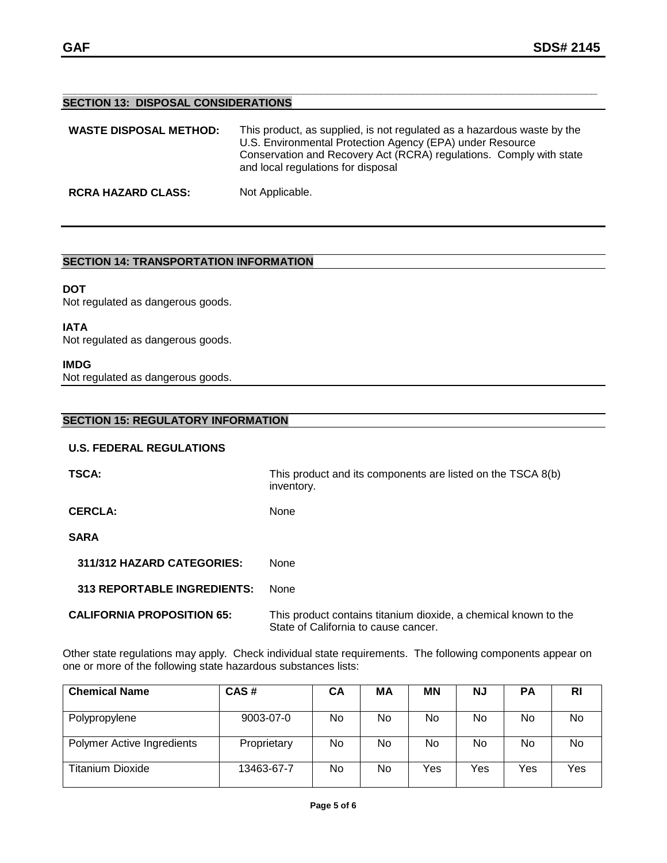#### **\_\_\_\_\_\_\_\_\_\_\_\_\_\_\_\_\_\_\_\_\_\_\_\_\_\_\_\_\_\_\_\_\_\_\_\_\_\_\_\_\_\_\_\_\_\_\_\_\_\_\_\_\_\_\_\_\_\_\_\_\_\_\_\_\_\_\_\_\_\_\_\_\_\_\_\_\_\_\_\_\_\_\_\_\_\_\_\_\_ SECTION 13: DISPOSAL CONSIDERATIONS**

| <b>WASTE DISPOSAL METHOD:</b> | This product, as supplied, is not regulated as a hazardous waste by the<br>U.S. Environmental Protection Agency (EPA) under Resource<br>Conservation and Recovery Act (RCRA) regulations. Comply with state<br>and local regulations for disposal |
|-------------------------------|---------------------------------------------------------------------------------------------------------------------------------------------------------------------------------------------------------------------------------------------------|
| <b>RCRA HAZARD CLASS:</b>     | Not Applicable.                                                                                                                                                                                                                                   |

# **SECTION 14: TRANSPORTATION INFORMATION**

# **DOT**

Not regulated as dangerous goods.

#### **IATA**

Not regulated as dangerous goods.

#### **IMDG**

Not regulated as dangerous goods.

## **SECTION 15: REGULATORY INFORMATION**

#### **U.S. FEDERAL REGULATIONS**

| <b>TSCA:</b>                       | This product and its components are listed on the TSCA 8(b)<br>inventory.                               |
|------------------------------------|---------------------------------------------------------------------------------------------------------|
| <b>CERCLA:</b>                     | None                                                                                                    |
| <b>SARA</b>                        |                                                                                                         |
| 311/312 HAZARD CATEGORIES:         | <b>None</b>                                                                                             |
| <b>313 REPORTABLE INGREDIENTS:</b> | None                                                                                                    |
| <b>CALIFORNIA PROPOSITION 65:</b>  | This product contains titanium dioxide, a chemical known to the<br>State of California to cause cancer. |

Other state regulations may apply. Check individual state requirements. The following components appear on one or more of the following state hazardous substances lists:

| <b>Chemical Name</b>       | CAS#        | CA | МA | <b>MN</b> | ΝJ  | <b>PA</b> | RI  |
|----------------------------|-------------|----|----|-----------|-----|-----------|-----|
|                            |             |    |    |           |     |           |     |
| Polypropylene              | 9003-07-0   | No | No | No.       | No. | No        | No  |
| Polymer Active Ingredients | Proprietary | No | No | No        | No. | No        | No  |
| Titanium Dioxide           | 13463-67-7  | No | No | Yes       | Yes | Yes       | Yes |